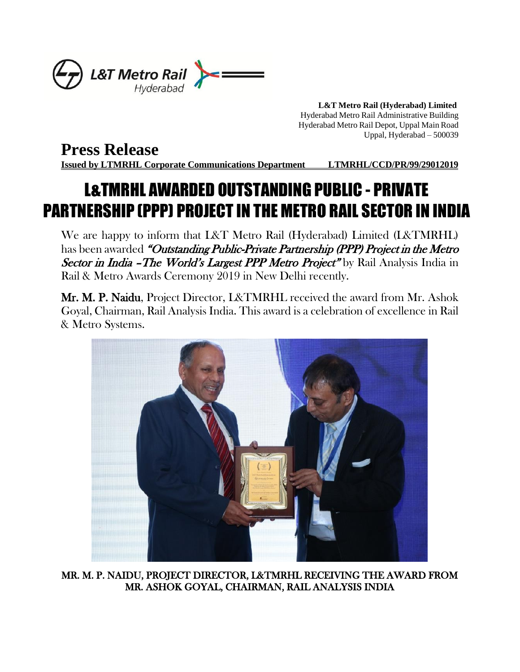

 **L&T Metro Rail (Hyderabad) Limited** Hyderabad Metro Rail Administrative Building Hyderabad Metro Rail Depot, Uppal Main Road Uppal, Hyderabad – 500039

## **Press Release**

**Issued by LTMRHL Corporate Communications Department LTMRHL/CCD/PR/99/29012019**

## L&TMRHL AWARDED OUTSTANDING PUBLIC - PRIVATE PARTNERSHIP (PPP) PROJECT IN THE METRO RAIL SECTOR IN INDIA

We are happy to inform that L&T Metro Rail (Hyderabad) Limited (L&TMRHL) has been awarded "Outstanding Public-Private Partnership (PPP) Project in the Metro Sector in India – The World's Largest PPP Metro Project" by Rail Analysis India in Rail & Metro Awards Ceremony 2019 in New Delhi recently.

Mr. M. P. Naidu, Project Director, L&TMRHL received the award from Mr. Ashok Goyal, Chairman, Rail Analysis India. This award is a celebration of excellence in Rail & Metro Systems.



MR. M. P. NAIDU, PROJECT DIRECTOR, L&TMRHL RECEIVING THE AWARD FROM MR. ASHOK GOYAL, CHAIRMAN, RAIL ANALYSIS INDIA